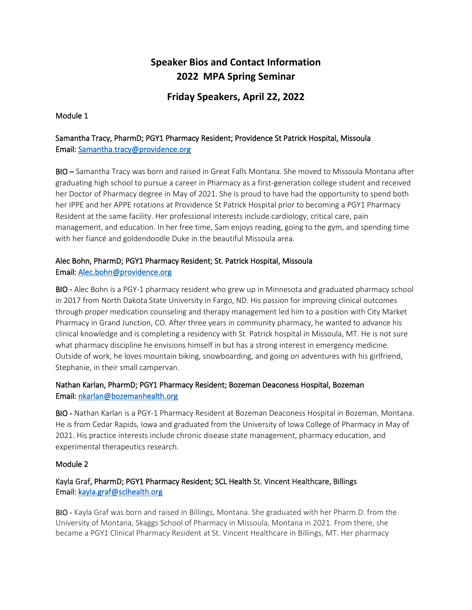# **Speaker Bios and Contact Information 2022 MPA Spring Seminar**

# **Friday Speakers, April 22, 2022**

#### Module 1

## Samantha Tracy, PharmD; PGY1 Pharmacy Resident; Providence St Patrick Hospital, Missoula Email[: Samantha.tracy@providence.org](mailto:Samantha.tracy@providence.org)

BIO – Samantha Tracy was born and raised in Great Falls Montana. She moved to Missoula Montana after graduating high school to pursue a career in Pharmacy as a first-generation college student and received her Doctor of Pharmacy degree in May of 2021. She is proud to have had the opportunity to spend both her IPPE and her APPE rotations at Providence St Patrick Hospital prior to becoming a PGY1 Pharmacy Resident at the same facility. Her professional interests include cardiology, critical care, pain management, and education. In her free time, Sam enjoys reading, going to the gym, and spending time with her fiancé and goldendoodle Duke in the beautiful Missoula area.

# Alec Bohn, PharmD; PGY1 Pharmacy Resident; St. Patrick Hospital, Missoula Email[: Alec.bohn@providence.org](mailto:Alec.bohn@providence.org)

BIO - Alec Bohn is a PGY-1 pharmacy resident who grew up in Minnesota and graduated pharmacy school in 2017 from North Dakota State University in Fargo, ND. His passion for improving clinical outcomes through proper medication counseling and therapy management led him to a position with City Market Pharmacy in Grand Junction, CO. After three years in community pharmacy, he wanted to advance his clinical knowledge and is completing a residency with St. Patrick hospital in Missoula, MT. He is not sure what pharmacy discipline he envisions himself in but has a strong interest in emergency medicine. Outside of work, he loves mountain biking, snowboarding, and going on adventures with his girlfriend, Stephanie, in their small campervan.

### Nathan Karlan, PharmD; PGY1 Pharmacy Resident; Bozeman Deaconess Hospital, Bozeman Email: [nkarlan@bozemanhealth.org](mailto:nkarlan@bozemanhealth.org)

BIO - Nathan Karlan is a PGY-1 Pharmacy Resident at Bozeman Deaconess Hospital in Bozeman, Montana. He is from Cedar Rapids, Iowa and graduated from the University of Iowa College of Pharmacy in May of 2021. His practice interests include chronic disease state management, pharmacy education, and experimental therapeutics research.

#### Module 2

### Kayla Graf, PharmD; PGY1 Pharmacy Resident; SCL Health St. Vincent Healthcare, Billings Email[: kayla.graf@sclhealth.org](mailto:kayla.graf@sclhealth.org)

BIO - Kayla Graf was born and raised in Billings, Montana. She graduated with her Pharm.D. from the University of Montana, Skaggs School of Pharmacy in Missoula, Montana in 2021. From there, she became a PGY1 Clinical Pharmacy Resident at St. Vincent Healthcare in Billings, MT. Her pharmacy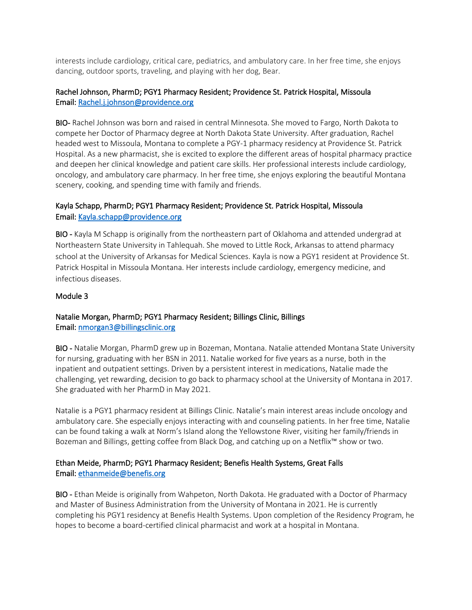interests include cardiology, critical care, pediatrics, and ambulatory care. In her free time, she enjoys dancing, outdoor sports, traveling, and playing with her dog, Bear.

#### Rachel Johnson, PharmD; PGY1 Pharmacy Resident; Providence St. Patrick Hospital, Missoula Email[: Rachel.j.johnson@providence.org](mailto:Rachel.j.johnson@providence.org)

BIO- Rachel Johnson was born and raised in central Minnesota. She moved to Fargo, North Dakota to compete her Doctor of Pharmacy degree at North Dakota State University. After graduation, Rachel headed west to Missoula, Montana to complete a PGY-1 pharmacy residency at Providence St. Patrick Hospital. As a new pharmacist, she is excited to explore the different areas of hospital pharmacy practice and deepen her clinical knowledge and patient care skills. Her professional interests include cardiology, oncology, and ambulatory care pharmacy. In her free time, she enjoys exploring the beautiful Montana scenery, cooking, and spending time with family and friends.

## Kayla Schapp, PharmD; PGY1 Pharmacy Resident; Providence St. Patrick Hospital, Missoula Email[: Kayla.schapp@providence.org](mailto:Kayla.schapp@providence.org)

BIO - Kayla M Schapp is originally from the northeastern part of Oklahoma and attended undergrad at Northeastern State University in Tahlequah. She moved to Little Rock, Arkansas to attend pharmacy school at the University of Arkansas for Medical Sciences. Kayla is now a PGY1 resident at Providence St. Patrick Hospital in Missoula Montana. Her interests include cardiology, emergency medicine, and infectious diseases.

#### Module 3

#### Natalie Morgan, PharmD; PGY1 Pharmacy Resident; Billings Clinic, Billings Email[: nmorgan3@billingsclinic.org](mailto:nmorgan3@billingsclinic.org)

BIO - Natalie Morgan, PharmD grew up in Bozeman, Montana. Natalie attended Montana State University for nursing, graduating with her BSN in 2011. Natalie worked for five years as a nurse, both in the inpatient and outpatient settings. Driven by a persistent interest in medications, Natalie made the challenging, yet rewarding, decision to go back to pharmacy school at the University of Montana in 2017. She graduated with her PharmD in May 2021.

Natalie is a PGY1 pharmacy resident at Billings Clinic. Natalie's main interest areas include oncology and ambulatory care. She especially enjoys interacting with and counseling patients. In her free time, Natalie can be found taking a walk at Norm's Island along the Yellowstone River, visiting her family/friends in Bozeman and Billings, getting coffee from Black Dog, and catching up on a Netflix™ show or two.

#### Ethan Meide, PharmD; PGY1 Pharmacy Resident; Benefis Health Systems, Great Falls Email[: ethanmeide@benefis.org](mailto:ethanmeide@benefis.org)

BIO - Ethan Meide is originally from Wahpeton, North Dakota. He graduated with a Doctor of Pharmacy and Master of Business Administration from the University of Montana in 2021. He is currently completing his PGY1 residency at Benefis Health Systems. Upon completion of the Residency Program, he hopes to become a board-certified clinical pharmacist and work at a hospital in Montana.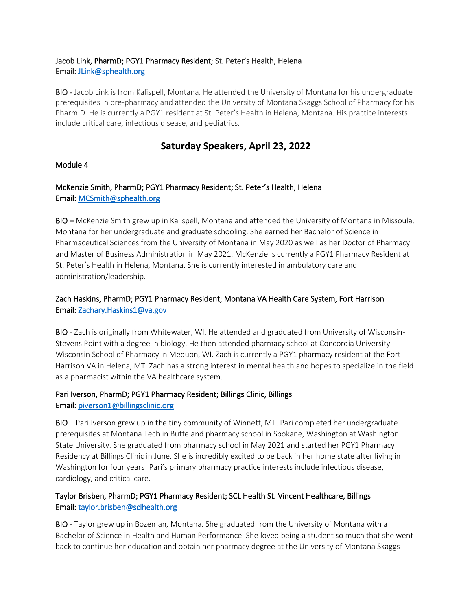#### Jacob Link, PharmD; PGY1 Pharmacy Resident; St. Peter's Health, Helena Email[: JLink@sphealth.org](mailto:JLink@sphealth.org)

BIO - Jacob Link is from Kalispell, Montana. He attended the University of Montana for his undergraduate prerequisites in pre-pharmacy and attended the University of Montana Skaggs School of Pharmacy for his Pharm.D. He is currently a PGY1 resident at St. Peter's Health in Helena, Montana. His practice interests include critical care, infectious disease, and pediatrics.

# **Saturday Speakers, April 23, 2022**

#### Module 4

# McKenzie Smith, PharmD; PGY1 Pharmacy Resident; St. Peter's Health, Helena Email[: MCSmith@sphealth.org](mailto:MCSmith@sphealth.org)

BIO – McKenzie Smith grew up in Kalispell, Montana and attended the University of Montana in Missoula, Montana for her undergraduate and graduate schooling. She earned her Bachelor of Science in Pharmaceutical Sciences from the University of Montana in May 2020 as well as her Doctor of Pharmacy and Master of Business Administration in May 2021. McKenzie is currently a PGY1 Pharmacy Resident at St. Peter's Health in Helena, Montana. She is currently interested in ambulatory care and administration/leadership.

## Zach Haskins, PharmD; PGY1 Pharmacy Resident; Montana VA Health Care System, Fort Harrison Email[: Zachary.Haskins1@va.gov](mailto:Zachary.Haskins1@va.gov)

BIO - Zach is originally from Whitewater, WI. He attended and graduated from University of Wisconsin-Stevens Point with a degree in biology. He then attended pharmacy school at Concordia University Wisconsin School of Pharmacy in Mequon, WI. Zach is currently a PGY1 pharmacy resident at the Fort Harrison VA in Helena, MT. Zach has a strong interest in mental health and hopes to specialize in the field as a pharmacist within the VA healthcare system.

#### Pari Iverson, PharmD; PGY1 Pharmacy Resident; Billings Clinic, Billings Email[: piverson1@billingsclinic.org](mailto:piverson1@billingsclinic.org)

BIO – Pari Iverson grew up in the tiny community of Winnett, MT. Pari completed her undergraduate prerequisites at Montana Tech in Butte and pharmacy school in Spokane, Washington at Washington State University. She graduated from pharmacy school in May 2021 and started her PGY1 Pharmacy Residency at Billings Clinic in June. She is incredibly excited to be back in her home state after living in Washington for four years! Pari's primary pharmacy practice interests include infectious disease, cardiology, and critical care.

### Taylor Brisben, PharmD; PGY1 Pharmacy Resident; SCL Health St. Vincent Healthcare, Billings Email: [taylor.brisben@sclhealth.org](mailto:taylor.brisben@sclhealth.org)

BIO - Taylor grew up in Bozeman, Montana. She graduated from the University of Montana with a Bachelor of Science in Health and Human Performance. She loved being a student so much that she went back to continue her education and obtain her pharmacy degree at the University of Montana Skaggs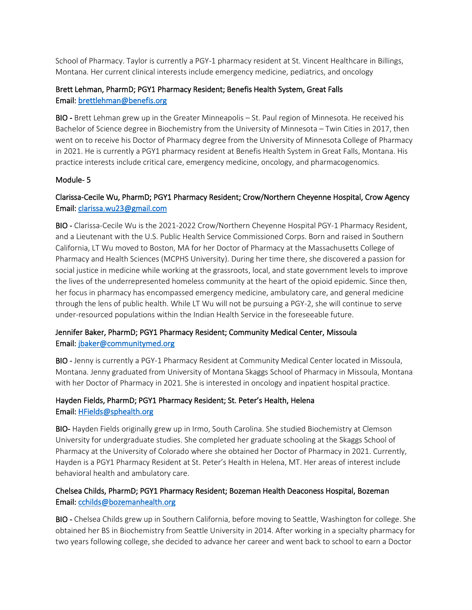School of Pharmacy. Taylor is currently a PGY-1 pharmacy resident at St. Vincent Healthcare in Billings, Montana. Her current clinical interests include emergency medicine, pediatrics, and oncology

### Brett Lehman, PharmD; PGY1 Pharmacy Resident; Benefis Health System, Great Falls Email[: brettlehman@benefis.org](mailto:brettlehman@benefis.org)

BIO - Brett Lehman grew up in the Greater Minneapolis – St. Paul region of Minnesota. He received his Bachelor of Science degree in Biochemistry from the University of Minnesota – Twin Cities in 2017, then went on to receive his Doctor of Pharmacy degree from the University of Minnesota College of Pharmacy in 2021. He is currently a PGY1 pharmacy resident at Benefis Health System in Great Falls, Montana. His practice interests include critical care, emergency medicine, oncology, and pharmacogenomics.

#### Module- 5

# Clarissa-Cecile Wu, PharmD; PGY1 Pharmacy Resident; Crow/Northern Cheyenne Hospital, Crow Agency Email[: clarissa.wu23@gmail.com](mailto:clarissa.wu23@gmail.com)

BIO - Clarissa-Cecile Wu is the 2021-2022 Crow/Northern Cheyenne Hospital PGY-1 Pharmacy Resident, and a Lieutenant with the U.S. Public Health Service Commissioned Corps. Born and raised in Southern California, LT Wu moved to Boston, MA for her Doctor of Pharmacy at the Massachusetts College of Pharmacy and Health Sciences (MCPHS University). During her time there, she discovered a passion for social justice in medicine while working at the grassroots, local, and state government levels to improve the lives of the underrepresented homeless community at the heart of the opioid epidemic. Since then, her focus in pharmacy has encompassed emergency medicine, ambulatory care, and general medicine through the lens of public health. While LT Wu will not be pursuing a PGY-2, she will continue to serve under-resourced populations within the Indian Health Service in the foreseeable future.

### Jennifer Baker, PharmD; PGY1 Pharmacy Resident; Community Medical Center, Missoula Email[: jbaker@communitymed.org](mailto:jbaker@communitymed.org)

BIO - Jenny is currently a PGY-1 Pharmacy Resident at Community Medical Center located in Missoula, Montana. Jenny graduated from University of Montana Skaggs School of Pharmacy in Missoula, Montana with her Doctor of Pharmacy in 2021. She is interested in oncology and inpatient hospital practice.

# Hayden Fields, PharmD; PGY1 Pharmacy Resident; St. Peter's Health, Helena Email[: HFields@sphealth.org](mailto:HFields@sphealth.org)

BIO- Hayden Fields originally grew up in Irmo, South Carolina. She studied Biochemistry at Clemson University for undergraduate studies. She completed her graduate schooling at the Skaggs School of Pharmacy at the University of Colorado where she obtained her Doctor of Pharmacy in 2021. Currently, Hayden is a PGY1 Pharmacy Resident at St. Peter's Health in Helena, MT. Her areas of interest include behavioral health and ambulatory care.

### Chelsea Childs, PharmD; PGY1 Pharmacy Resident; Bozeman Health Deaconess Hospital, Bozeman Email[: cchilds@bozemanhealth.org](mailto:cchilds@bozemanhealth.org)

BIO - Chelsea Childs grew up in Southern California, before moving to Seattle, Washington for college. She obtained her BS in Biochemistry from Seattle University in 2014. After working in a specialty pharmacy for two years following college, she decided to advance her career and went back to school to earn a Doctor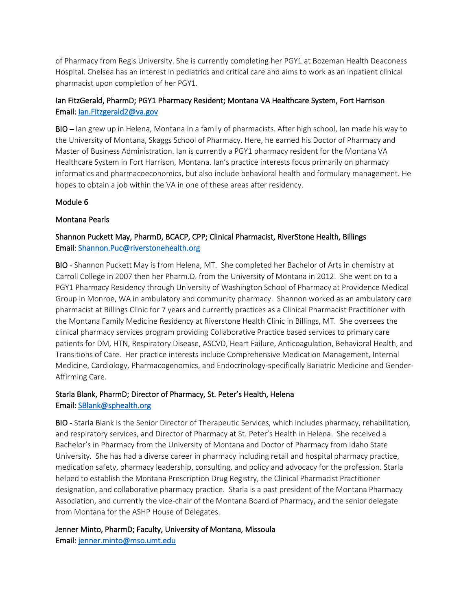of Pharmacy from Regis University. She is currently completing her PGY1 at Bozeman Health Deaconess Hospital. Chelsea has an interest in pediatrics and critical care and aims to work as an inpatient clinical pharmacist upon completion of her PGY1.

# Ian FitzGerald, PharmD; PGY1 Pharmacy Resident; Montana VA Healthcare System, Fort Harrison Email[: Ian.Fitzgerald2@va.gov](mailto:Ian.Fitzgerald2@va.gov)

BIO – Ian grew up in Helena, Montana in a family of pharmacists. After high school, Ian made his way to the University of Montana, Skaggs School of Pharmacy. Here, he earned his Doctor of Pharmacy and Master of Business Administration. Ian is currently a PGY1 pharmacy resident for the Montana VA Healthcare System in Fort Harrison, Montana. Ian's practice interests focus primarily on pharmacy informatics and pharmacoeconomics, but also include behavioral health and formulary management. He hopes to obtain a job within the VA in one of these areas after residency.

#### Module 6

#### Montana Pearls

# Shannon Puckett May, PharmD, BCACP, CPP; Clinical Pharmacist, RiverStone Health, Billings Email[: Shannon.Puc@riverstonehealth.org](mailto:Shannon.Puc@riverstonehealth.org)

BIO - Shannon Puckett May is from Helena, MT. She completed her Bachelor of Arts in chemistry at Carroll College in 2007 then her Pharm.D. from the University of Montana in 2012. She went on to a PGY1 Pharmacy Residency through University of Washington School of Pharmacy at Providence Medical Group in Monroe, WA in ambulatory and community pharmacy. Shannon worked as an ambulatory care pharmacist at Billings Clinic for 7 years and currently practices as a Clinical Pharmacist Practitioner with the Montana Family Medicine Residency at Riverstone Health Clinic in Billings, MT. She oversees the clinical pharmacy services program providing Collaborative Practice based services to primary care patients for DM, HTN, Respiratory Disease, ASCVD, Heart Failure, Anticoagulation, Behavioral Health, and Transitions of Care. Her practice interests include Comprehensive Medication Management, Internal Medicine, Cardiology, Pharmacogenomics, and Endocrinology-specifically Bariatric Medicine and Gender-Affirming Care.

### Starla Blank, PharmD; Director of Pharmacy, St. Peter's Health, Helena Email[: SBlank@sphealth.org](mailto:SBlank@sphealth.org)

BIO - Starla Blank is the Senior Director of Therapeutic Services, which includes pharmacy, rehabilitation, and respiratory services, and Director of Pharmacy at St. Peter's Health in Helena. She received a Bachelor's in Pharmacy from the University of Montana and Doctor of Pharmacy from Idaho State University. She has had a diverse career in pharmacy including retail and hospital pharmacy practice, medication safety, pharmacy leadership, consulting, and policy and advocacy for the profession. Starla helped to establish the Montana Prescription Drug Registry, the Clinical Pharmacist Practitioner designation, and collaborative pharmacy practice. Starla is a past president of the Montana Pharmacy Association, and currently the vice-chair of the Montana Board of Pharmacy, and the senior delegate from Montana for the ASHP House of Delegates.

Jenner Minto, PharmD; Faculty, University of Montana, Missoula Email[: jenner.minto@mso.umt.edu](mailto:jenner.minto@mso.umt.edu)